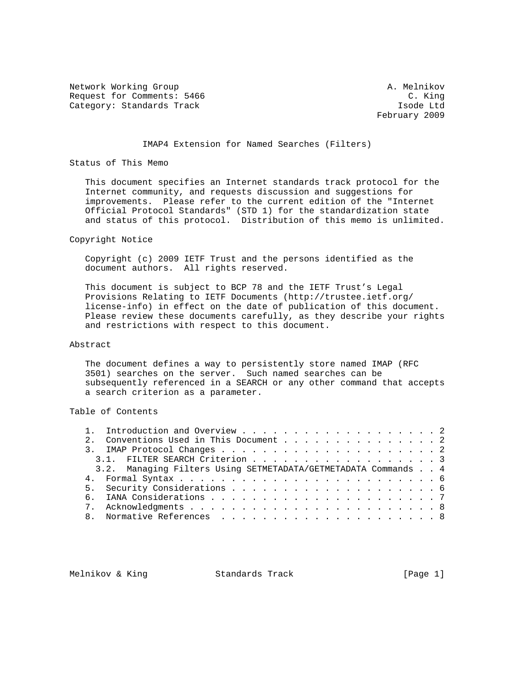Network Working Group and A. Melnikov A. Melnikov Request for Comments: 5466 C. King Category: Standards Track Isode Ltd

February 2009

## IMAP4 Extension for Named Searches (Filters)

### Status of This Memo

 This document specifies an Internet standards track protocol for the Internet community, and requests discussion and suggestions for improvements. Please refer to the current edition of the "Internet Official Protocol Standards" (STD 1) for the standardization state and status of this protocol. Distribution of this memo is unlimited.

## Copyright Notice

 Copyright (c) 2009 IETF Trust and the persons identified as the document authors. All rights reserved.

 This document is subject to BCP 78 and the IETF Trust's Legal Provisions Relating to IETF Documents (http://trustee.ietf.org/ license-info) in effect on the date of publication of this document. Please review these documents carefully, as they describe your rights and restrictions with respect to this document.

## Abstract

 The document defines a way to persistently store named IMAP (RFC 3501) searches on the server. Such named searches can be subsequently referenced in a SEARCH or any other command that accepts a search criterion as a parameter.

# Table of Contents

|  | 2. Conventions Used in This Document 2                         |  |
|--|----------------------------------------------------------------|--|
|  |                                                                |  |
|  | 3.1. FILTER SEARCH Criterion 3                                 |  |
|  | 3.2. Managing Filters Using SETMETADATA/GETMETADATA Commands 4 |  |
|  |                                                                |  |
|  |                                                                |  |
|  |                                                                |  |
|  |                                                                |  |
|  |                                                                |  |
|  |                                                                |  |

Melnikov & King **Standards Track** [Page 1]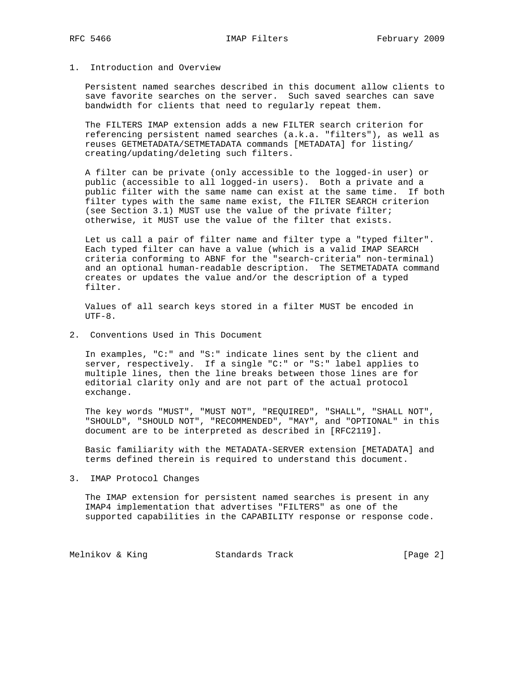# 1. Introduction and Overview

 Persistent named searches described in this document allow clients to save favorite searches on the server. Such saved searches can save bandwidth for clients that need to regularly repeat them.

 The FILTERS IMAP extension adds a new FILTER search criterion for referencing persistent named searches (a.k.a. "filters"), as well as reuses GETMETADATA/SETMETADATA commands [METADATA] for listing/ creating/updating/deleting such filters.

 A filter can be private (only accessible to the logged-in user) or public (accessible to all logged-in users). Both a private and a public filter with the same name can exist at the same time. If both filter types with the same name exist, the FILTER SEARCH criterion (see Section 3.1) MUST use the value of the private filter; otherwise, it MUST use the value of the filter that exists.

 Let us call a pair of filter name and filter type a "typed filter". Each typed filter can have a value (which is a valid IMAP SEARCH criteria conforming to ABNF for the "search-criteria" non-terminal) and an optional human-readable description. The SETMETADATA command creates or updates the value and/or the description of a typed filter.

 Values of all search keys stored in a filter MUST be encoded in  $UTF-8.$ 

2. Conventions Used in This Document

 In examples, "C:" and "S:" indicate lines sent by the client and server, respectively. If a single "C:" or "S:" label applies to multiple lines, then the line breaks between those lines are for editorial clarity only and are not part of the actual protocol exchange.

 The key words "MUST", "MUST NOT", "REQUIRED", "SHALL", "SHALL NOT", "SHOULD", "SHOULD NOT", "RECOMMENDED", "MAY", and "OPTIONAL" in this document are to be interpreted as described in [RFC2119].

 Basic familiarity with the METADATA-SERVER extension [METADATA] and terms defined therein is required to understand this document.

3. IMAP Protocol Changes

 The IMAP extension for persistent named searches is present in any IMAP4 implementation that advertises "FILTERS" as one of the supported capabilities in the CAPABILITY response or response code.

Melnikov & King **Standards Track** [Page 2]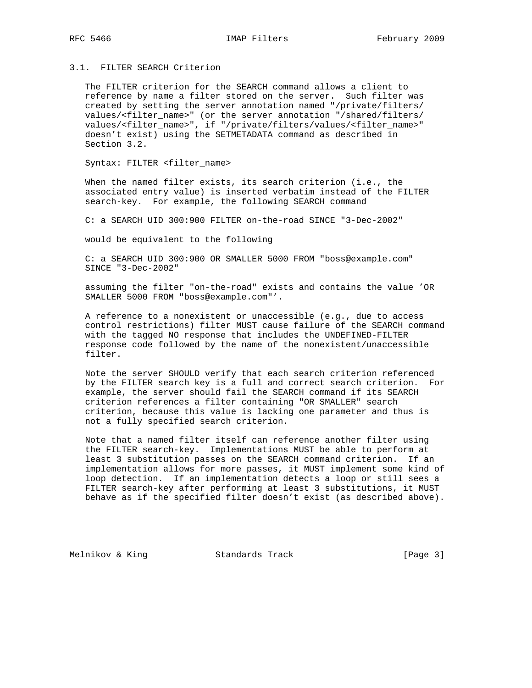# 3.1. FILTER SEARCH Criterion

 The FILTER criterion for the SEARCH command allows a client to reference by name a filter stored on the server. Such filter was created by setting the server annotation named "/private/filters/ values/<filter\_name>" (or the server annotation "/shared/filters/ values/<filter\_name>", if "/private/filters/values/<filter\_name>" doesn't exist) using the SETMETADATA command as described in Section 3.2.

Syntax: FILTER <filter\_name>

 When the named filter exists, its search criterion (i.e., the associated entry value) is inserted verbatim instead of the FILTER search-key. For example, the following SEARCH command

C: a SEARCH UID 300:900 FILTER on-the-road SINCE "3-Dec-2002"

would be equivalent to the following

 C: a SEARCH UID 300:900 OR SMALLER 5000 FROM "boss@example.com" SINCE "3-Dec-2002"

 assuming the filter "on-the-road" exists and contains the value 'OR SMALLER 5000 FROM "boss@example.com"'.

 A reference to a nonexistent or unaccessible (e.g., due to access control restrictions) filter MUST cause failure of the SEARCH command with the tagged NO response that includes the UNDEFINED-FILTER response code followed by the name of the nonexistent/unaccessible filter.

 Note the server SHOULD verify that each search criterion referenced by the FILTER search key is a full and correct search criterion. For example, the server should fail the SEARCH command if its SEARCH criterion references a filter containing "OR SMALLER" search criterion, because this value is lacking one parameter and thus is not a fully specified search criterion.

 Note that a named filter itself can reference another filter using the FILTER search-key. Implementations MUST be able to perform at least 3 substitution passes on the SEARCH command criterion. If an implementation allows for more passes, it MUST implement some kind of loop detection. If an implementation detects a loop or still sees a FILTER search-key after performing at least 3 substitutions, it MUST behave as if the specified filter doesn't exist (as described above).

Melnikov & King Standards Track (Page 3)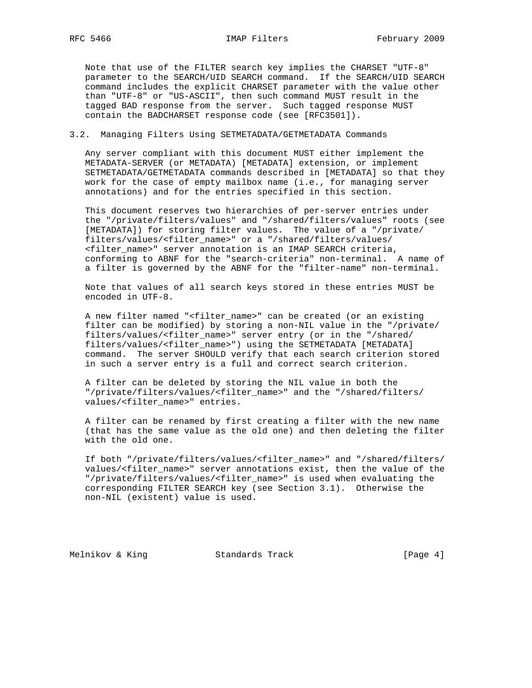Note that use of the FILTER search key implies the CHARSET "UTF-8" parameter to the SEARCH/UID SEARCH command. If the SEARCH/UID SEARCH command includes the explicit CHARSET parameter with the value other than "UTF-8" or "US-ASCII", then such command MUST result in the tagged BAD response from the server. Such tagged response MUST contain the BADCHARSET response code (see [RFC3501]).

# 3.2. Managing Filters Using SETMETADATA/GETMETADATA Commands

 Any server compliant with this document MUST either implement the METADATA-SERVER (or METADATA) [METADATA] extension, or implement SETMETADATA/GETMETADATA commands described in [METADATA] so that they work for the case of empty mailbox name (i.e., for managing server annotations) and for the entries specified in this section.

 This document reserves two hierarchies of per-server entries under the "/private/filters/values" and "/shared/filters/values" roots (see [METADATA]) for storing filter values. The value of a "/private/ filters/values/<filter\_name>" or a "/shared/filters/values/ <filter\_name>" server annotation is an IMAP SEARCH criteria, conforming to ABNF for the "search-criteria" non-terminal. A name of a filter is governed by the ABNF for the "filter-name" non-terminal.

 Note that values of all search keys stored in these entries MUST be encoded in UTF-8.

 A new filter named "<filter\_name>" can be created (or an existing filter can be modified) by storing a non-NIL value in the "/private/ filters/values/<filter\_name>" server entry (or in the "/shared/ filters/values/<filter\_name>") using the SETMETADATA [METADATA] command. The server SHOULD verify that each search criterion stored in such a server entry is a full and correct search criterion.

 A filter can be deleted by storing the NIL value in both the "/private/filters/values/<filter\_name>" and the "/shared/filters/ values/<filter\_name>" entries.

 A filter can be renamed by first creating a filter with the new name (that has the same value as the old one) and then deleting the filter with the old one.

 If both "/private/filters/values/<filter\_name>" and "/shared/filters/ values/<filter\_name>" server annotations exist, then the value of the "/private/filters/values/<filter\_name>" is used when evaluating the corresponding FILTER SEARCH key (see Section 3.1). Otherwise the non-NIL (existent) value is used.

Melnikov & King Standards Track [Page 4]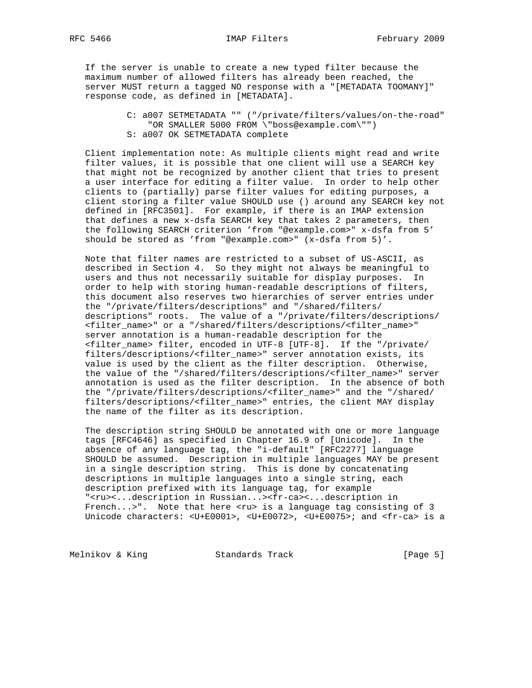If the server is unable to create a new typed filter because the

 maximum number of allowed filters has already been reached, the server MUST return a tagged NO response with a "[METADATA TOOMANY]" response code, as defined in [METADATA].

> C: a007 SETMETADATA "" ("/private/filters/values/on-the-road" "OR SMALLER 5000 FROM \"boss@example.com\"") S: a007 OK SETMETADATA complete

 Client implementation note: As multiple clients might read and write filter values, it is possible that one client will use a SEARCH key that might not be recognized by another client that tries to present a user interface for editing a filter value. In order to help other clients to (partially) parse filter values for editing purposes, a client storing a filter value SHOULD use () around any SEARCH key not defined in [RFC3501]. For example, if there is an IMAP extension that defines a new x-dsfa SEARCH key that takes 2 parameters, then the following SEARCH criterion 'from "@example.com>" x-dsfa from 5' should be stored as 'from "@example.com>" (x-dsfa from 5)'.

 Note that filter names are restricted to a subset of US-ASCII, as described in Section 4. So they might not always be meaningful to users and thus not necessarily suitable for display purposes. In order to help with storing human-readable descriptions of filters, this document also reserves two hierarchies of server entries under the "/private/filters/descriptions" and "/shared/filters/ descriptions" roots. The value of a "/private/filters/descriptions/ <filter\_name>" or a "/shared/filters/descriptions/<filter\_name>" server annotation is a human-readable description for the <filter\_name> filter, encoded in UTF-8 [UTF-8]. If the "/private/ filters/descriptions/<filter\_name>" server annotation exists, its value is used by the client as the filter description. Otherwise, the value of the "/shared/filters/descriptions/<filter\_name>" server annotation is used as the filter description. In the absence of both the "/private/filters/descriptions/<filter\_name>" and the "/shared/ filters/descriptions/<filter\_name>" entries, the client MAY display the name of the filter as its description.

 The description string SHOULD be annotated with one or more language tags [RFC4646] as specified in Chapter 16.9 of [Unicode]. In the absence of any language tag, the "i-default" [RFC2277] language SHOULD be assumed. Description in multiple languages MAY be present in a single description string. This is done by concatenating descriptions in multiple languages into a single string, each description prefixed with its language tag, for example "<ru><...description in Russian...><fr-ca><...description in French...>". Note that here <ru> is a language tag consisting of 3 Unicode characters: <U+E0001>, <U+E0072>, <U+E0075>; and <fr-ca> is a

Melnikov & King **Standards Track** [Page 5]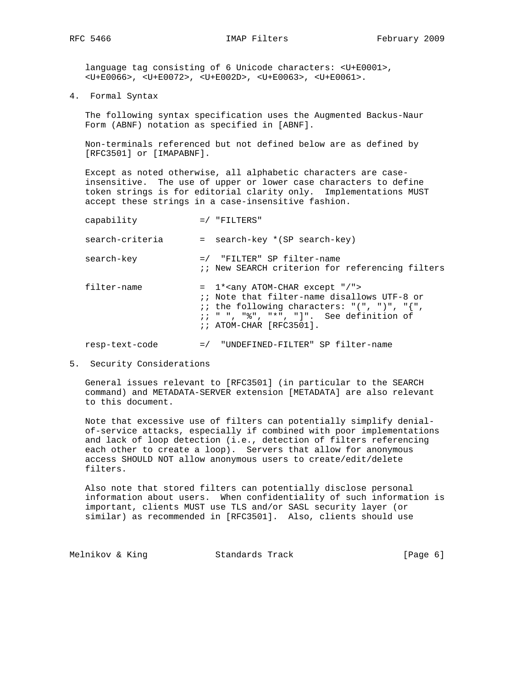language tag consisting of 6 Unicode characters: <U+E0001>, <U+E0066>, <U+E0072>, <U+E002D>, <U+E0063>, <U+E0061>.

4. Formal Syntax

 The following syntax specification uses the Augmented Backus-Naur Form (ABNF) notation as specified in [ABNF].

 Non-terminals referenced but not defined below are as defined by [RFC3501] or [IMAPABNF].

 Except as noted otherwise, all alphabetic characters are case insensitive. The use of upper or lower case characters to define token strings is for editorial clarity only. Implementations MUST accept these strings in a case-insensitive fashion.

| capability      |       | $=$ / "FILTERS"                                                                                                                                                                                                                                                             |
|-----------------|-------|-----------------------------------------------------------------------------------------------------------------------------------------------------------------------------------------------------------------------------------------------------------------------------|
| search-criteria |       | = search-key *(SP search-key)                                                                                                                                                                                                                                               |
| search-key      |       | =/ "FILTER" SP filter-name<br>:: New SEARCH criterion for referencing filters                                                                                                                                                                                               |
| filter-name     |       | $= 1*any$ ATOM-CHAR except "/"><br>:: Note that filter-name disallows UTF-8 or<br><i>ii</i> the following characters: " $($ ", " $)$ ", " $\{$ ",<br>$\left  \cdot \right $ , ", " $\frac{1}{2}$ ", " $\frac{1}{2}$ ", ", ", See definition of<br>$i: ATOM-CHAR [RFC3501].$ |
| resp-text-code  | $=$ / | "UNDEFINED-FILTER" SP filter-name                                                                                                                                                                                                                                           |

5. Security Considerations

 General issues relevant to [RFC3501] (in particular to the SEARCH command) and METADATA-SERVER extension [METADATA] are also relevant to this document.

 Note that excessive use of filters can potentially simplify denial of-service attacks, especially if combined with poor implementations and lack of loop detection (i.e., detection of filters referencing each other to create a loop). Servers that allow for anonymous access SHOULD NOT allow anonymous users to create/edit/delete filters.

 Also note that stored filters can potentially disclose personal information about users. When confidentiality of such information is important, clients MUST use TLS and/or SASL security layer (or similar) as recommended in [RFC3501]. Also, clients should use

| Melnikov & King | Standards Track | [Page 6] |  |
|-----------------|-----------------|----------|--|
|-----------------|-----------------|----------|--|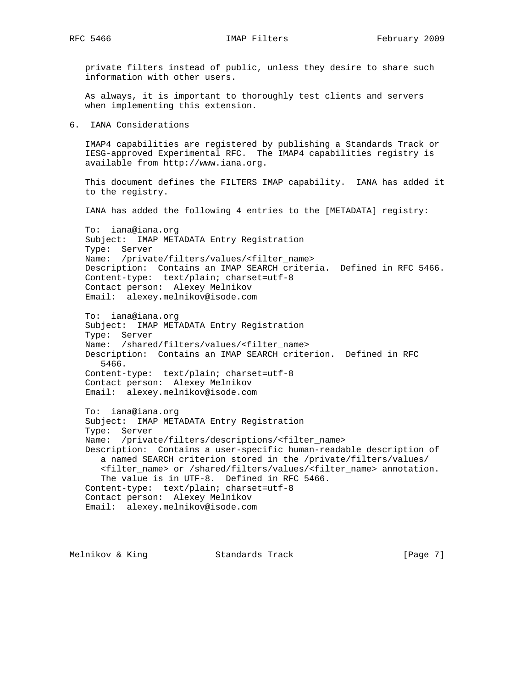private filters instead of public, unless they desire to share such information with other users.

 As always, it is important to thoroughly test clients and servers when implementing this extension.

6. IANA Considerations

 IMAP4 capabilities are registered by publishing a Standards Track or IESG-approved Experimental RFC. The IMAP4 capabilities registry is available from http://www.iana.org.

 This document defines the FILTERS IMAP capability. IANA has added it to the registry.

IANA has added the following 4 entries to the [METADATA] registry:

 To: iana@iana.org Subject: IMAP METADATA Entry Registration Type: Server Name: /private/filters/values/<filter\_name> Description: Contains an IMAP SEARCH criteria. Defined in RFC 5466. Content-type: text/plain; charset=utf-8 Contact person: Alexey Melnikov Email: alexey.melnikov@isode.com

 To: iana@iana.org Subject: IMAP METADATA Entry Registration Type: Server Name: /shared/filters/values/<filter\_name> Description: Contains an IMAP SEARCH criterion. Defined in RFC 5466. Content-type: text/plain; charset=utf-8 Contact person: Alexey Melnikov Email: alexey.melnikov@isode.com

 To: iana@iana.org Subject: IMAP METADATA Entry Registration Type: Server Name: /private/filters/descriptions/<filter\_name> Description: Contains a user-specific human-readable description of a named SEARCH criterion stored in the /private/filters/values/ <filter\_name> or /shared/filters/values/<filter\_name> annotation. The value is in UTF-8. Defined in RFC 5466. Content-type: text/plain; charset=utf-8 Contact person: Alexey Melnikov Email: alexey.melnikov@isode.com

Melnikov & King Standards Track [Page 7]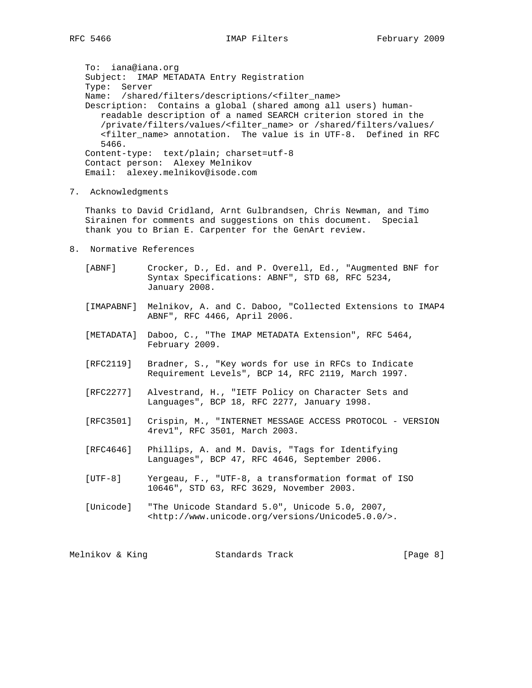To: iana@iana.org Subject: IMAP METADATA Entry Registration Type: Server Name: /shared/filters/descriptions/<filter name> Description: Contains a global (shared among all users) human readable description of a named SEARCH criterion stored in the /private/filters/values/<filter\_name> or /shared/filters/values/ <filter\_name> annotation. The value is in UTF-8. Defined in RFC 5466. Content-type: text/plain; charset=utf-8 Contact person: Alexey Melnikov Email: alexey.melnikov@isode.com

7. Acknowledgments

 Thanks to David Cridland, Arnt Gulbrandsen, Chris Newman, and Timo Sirainen for comments and suggestions on this document. Special thank you to Brian E. Carpenter for the GenArt review.

8. Normative References

 [ABNF] Crocker, D., Ed. and P. Overell, Ed., "Augmented BNF for Syntax Specifications: ABNF", STD 68, RFC 5234, January 2008.

- [IMAPABNF] Melnikov, A. and C. Daboo, "Collected Extensions to IMAP4 ABNF", RFC 4466, April 2006.
- [METADATA] Daboo, C., "The IMAP METADATA Extension", RFC 5464, February 2009.
- [RFC2119] Bradner, S., "Key words for use in RFCs to Indicate Requirement Levels", BCP 14, RFC 2119, March 1997.
- [RFC2277] Alvestrand, H., "IETF Policy on Character Sets and Languages", BCP 18, RFC 2277, January 1998.
- [RFC3501] Crispin, M., "INTERNET MESSAGE ACCESS PROTOCOL VERSION 4rev1", RFC 3501, March 2003.
- [RFC4646] Phillips, A. and M. Davis, "Tags for Identifying Languages", BCP 47, RFC 4646, September 2006.
- [UTF-8] Yergeau, F., "UTF-8, a transformation format of ISO 10646", STD 63, RFC 3629, November 2003.
- [Unicode] "The Unicode Standard 5.0", Unicode 5.0, 2007, <http://www.unicode.org/versions/Unicode5.0.0/>.

Melnikov & King Standards Track (Page 8)